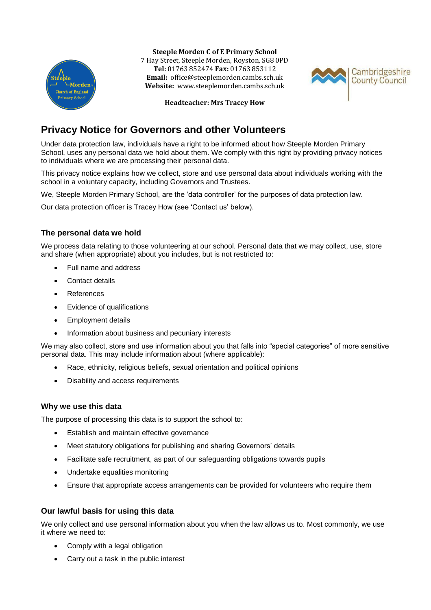

**Steeple Morden C of E Primary School**

7 Hay Street, Steeple Morden, Royston, SG8 0PD **Tel:** 01763 852474 **Fax:** 01763 853112 **Email:** office@steeplemorden.cambs.sch.uk **Website:** www.steeplemorden.cambs.sch.uk



**Headteacher: Mrs Tracey How**

# **Privacy Notice for Governors and other Volunteers**

Under data protection law, individuals have a right to be informed about how Steeple Morden Primary School, uses any personal data we hold about them. We comply with this right by providing privacy notices to individuals where we are processing their personal data.

This privacy notice explains how we collect, store and use personal data about individuals working with the school in a voluntary capacity, including Governors and Trustees.

We, Steeple Morden Primary School, are the 'data controller' for the purposes of data protection law.

Our data protection officer is Tracey How (see 'Contact us' below).

# **The personal data we hold**

We process data relating to those volunteering at our school. Personal data that we may collect, use, store and share (when appropriate) about you includes, but is not restricted to:

- Full name and address
- Contact details
- References
- Evidence of qualifications
- Employment details
- Information about business and pecuniary interests

We may also collect, store and use information about you that falls into "special categories" of more sensitive personal data. This may include information about (where applicable):

- Race, ethnicity, religious beliefs, sexual orientation and political opinions
- Disability and access requirements

## **Why we use this data**

The purpose of processing this data is to support the school to:

- Establish and maintain effective governance
- Meet statutory obligations for publishing and sharing Governors' details
- Facilitate safe recruitment, as part of our safeguarding obligations towards pupils
- Undertake equalities monitoring
- Ensure that appropriate access arrangements can be provided for volunteers who require them

# **Our lawful basis for using this data**

We only collect and use personal information about you when the law allows us to. Most commonly, we use it where we need to:

- Comply with a legal obligation
- Carry out a task in the public interest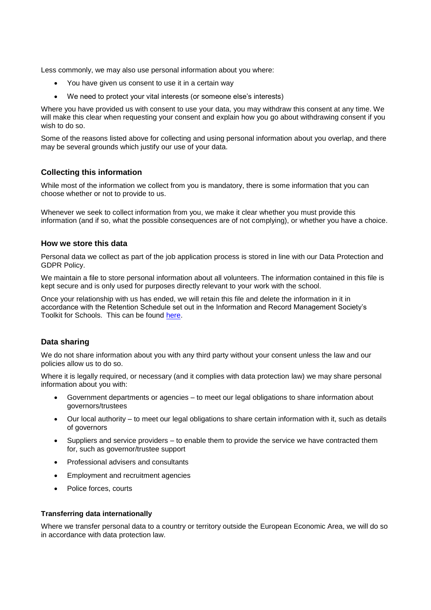Less commonly, we may also use personal information about you where:

- You have given us consent to use it in a certain way
- We need to protect your vital interests (or someone else's interests)

Where you have provided us with consent to use your data, you may withdraw this consent at any time. We will make this clear when requesting your consent and explain how you go about withdrawing consent if you wish to do so.

Some of the reasons listed above for collecting and using personal information about you overlap, and there may be several grounds which justify our use of your data.

#### **Collecting this information**

While most of the information we collect from you is mandatory, there is some information that you can choose whether or not to provide to us.

Whenever we seek to collect information from you, we make it clear whether you must provide this information (and if so, what the possible consequences are of not complying), or whether you have a choice.

#### **How we store this data**

Personal data we collect as part of the job application process is stored in line with our Data Protection and GDPR Policy.

We maintain a file to store personal information about all volunteers. The information contained in this file is kept secure and is only used for purposes directly relevant to your work with the school.

Once your relationship with us has ended, we will retain this file and delete the information in it in accordance with the Retention Schedule set out in the Information and Record Management Society's Toolkit for Schools. This can be found [here.](http://irms.org.uk/?page=schoolstoolkit&terms=%22toolkit+and+schools%22)

#### **Data sharing**

We do not share information about you with any third party without your consent unless the law and our policies allow us to do so.

Where it is legally required, or necessary (and it complies with data protection law) we may share personal information about you with:

- Government departments or agencies to meet our legal obligations to share information about governors/trustees
- Our local authority to meet our legal obligations to share certain information with it, such as details of governors
- Suppliers and service providers to enable them to provide the service we have contracted them for, such as governor/trustee support
- Professional advisers and consultants
- Employment and recruitment agencies
- Police forces, courts

#### **Transferring data internationally**

Where we transfer personal data to a country or territory outside the European Economic Area, we will do so in accordance with data protection law.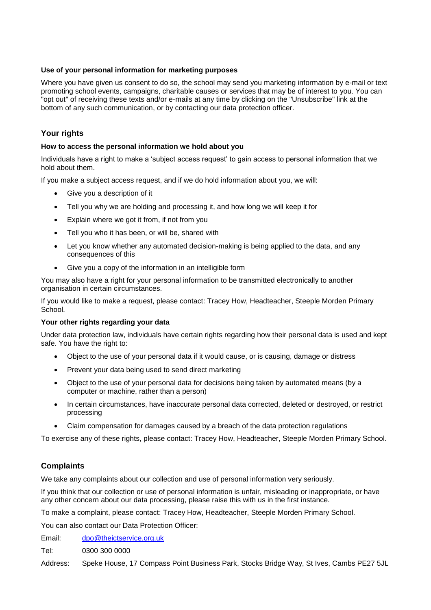#### **Use of your personal information for marketing purposes**

Where you have given us consent to do so, the school may send you marketing information by e-mail or text promoting school events, campaigns, charitable causes or services that may be of interest to you. You can "opt out" of receiving these texts and/or e-mails at any time by clicking on the "Unsubscribe" link at the bottom of any such communication, or by contacting our data protection officer.

## **Your rights**

#### **How to access the personal information we hold about you**

Individuals have a right to make a 'subject access request' to gain access to personal information that we hold about them.

If you make a subject access request, and if we do hold information about you, we will:

- Give you a description of it
- Tell you why we are holding and processing it, and how long we will keep it for
- Explain where we got it from, if not from you
- Tell you who it has been, or will be, shared with
- Let you know whether any automated decision-making is being applied to the data, and any consequences of this
- Give you a copy of the information in an intelligible form

You may also have a right for your personal information to be transmitted electronically to another organisation in certain circumstances.

If you would like to make a request, please contact: Tracey How, Headteacher, Steeple Morden Primary School.

#### **Your other rights regarding your data**

Under data protection law, individuals have certain rights regarding how their personal data is used and kept safe. You have the right to:

- Object to the use of your personal data if it would cause, or is causing, damage or distress
- Prevent your data being used to send direct marketing
- Object to the use of your personal data for decisions being taken by automated means (by a computer or machine, rather than a person)
- In certain circumstances, have inaccurate personal data corrected, deleted or destroyed, or restrict processing
- Claim compensation for damages caused by a breach of the data protection regulations

To exercise any of these rights, please contact: Tracey How, Headteacher, Steeple Morden Primary School.

## **Complaints**

We take any complaints about our collection and use of personal information very seriously.

If you think that our collection or use of personal information is unfair, misleading or inappropriate, or have any other concern about our data processing, please raise this with us in the first instance.

To make a complaint, please contact: Tracey How, Headteacher, Steeple Morden Primary School.

You can also contact our Data Protection Officer:

Email: [dpo@theictservice.org.uk](mailto:dpo@theictservice.org.uk)

Tel: 0300 300 0000

Address: Speke House, 17 Compass Point Business Park, Stocks Bridge Way, St Ives, Cambs PE27 5JL